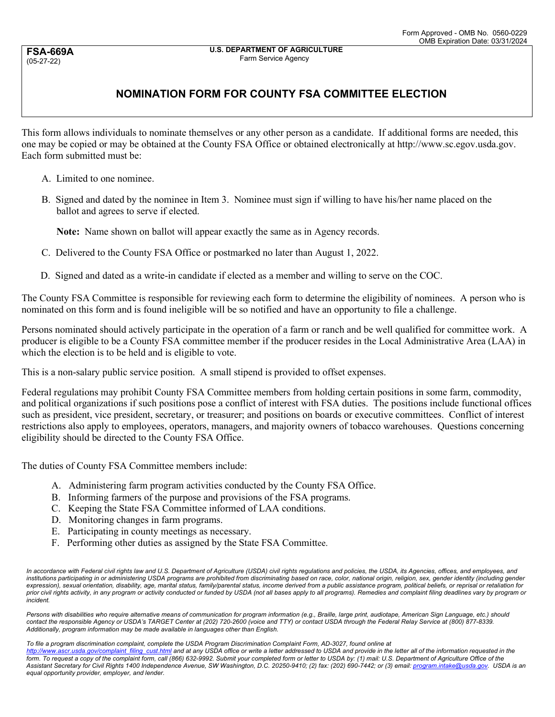**FSA-669A** (05-27-22)

## **NOMINATION FORM FOR COUNTY FSA COMMITTEE ELECTION**

This form allows individuals to nominate themselves or any other person as a candidate. If additional forms are needed, this one may be copied or may be obtained at the County FSA Office or obtained electronically at http://www.sc.egov.usda.gov. Each form submitted must be:

- A. Limited to one nominee.
- B. Signed and dated by the nominee in Item 3. Nominee must sign if willing to have his/her name placed on the ballot and agrees to serve if elected.

**Note:** Name shown on ballot will appear exactly the same as in Agency records.

- C. Delivered to the County FSA Office or postmarked no later than August 1, 2022.
- D. Signed and dated as a write-in candidate if elected as a member and willing to serve on the COC.

The County FSA Committee is responsible for reviewing each form to determine the eligibility of nominees. A person who is nominated on this form and is found ineligible will be so notified and have an opportunity to file a challenge.

Persons nominated should actively participate in the operation of a farm or ranch and be well qualified for committee work. A producer is eligible to be a County FSA committee member if the producer resides in the Local Administrative Area (LAA) in which the election is to be held and is eligible to vote.

This is a non-salary public service position. A small stipend is provided to offset expenses.

Federal regulations may prohibit County FSA Committee members from holding certain positions in some farm, commodity, and political organizations if such positions pose a conflict of interest with FSA duties. The positions include functional offices such as president, vice president, secretary, or treasurer; and positions on boards or executive committees. Conflict of interest restrictions also apply to employees, operators, managers, and majority owners of tobacco warehouses. Questions concerning eligibility should be directed to the County FSA Office.

The duties of County FSA Committee members include:

- A. Administering farm program activities conducted by the County FSA Office.
- B. Informing farmers of the purpose and provisions of the FSA programs.
- C. Keeping the State FSA Committee informed of LAA conditions.
- D. Monitoring changes in farm programs.
- E. Participating in county meetings as necessary.
- F. Performing other duties as assigned by the State FSA Committee.

In accordance with Federal civil rights law and U.S. Department of Agriculture (USDA) civil rights regulations and policies, the USDA, its Agencies, offices, and employees, and institutions participating in or administering USDA programs are prohibited from discriminating based on race, color, national origin, religion, sex, gender identity (including gender expression), sexual orientation, disability, age, marital status, family/parental status, income derived from a public assistance program, political beliefs, or reprisal or retaliation for prior civil rights activity, in any program or activity conducted or funded by USDA (not all bases apply to all programs). Remedies and complaint filing deadlines vary by program or *incident.* 

*Persons with disabilities who require alternative means of communication for program information (e.g., Braille, large print, audiotape, American Sign Language, etc.) should contact the responsible Agency or USDA's TARGET Center at (202) 720-2600 (voice and TTY) or contact USDA through the Federal Relay Service at (800) 877-8339. Additionally, program information may be made available in languages other than English.* 

*To file a program discrimination complaint, complete the USDA Program Discrimination Complaint Form, AD-3027, found online at* 

[http://www.ascr.usda.gov/complaint\\_filing\\_cust.html](http://www.ascr.usda.gov/complaint_filing_cust.html) and at any USDA office or write a letter addressed to USDA and provide in the letter all of the information requested in the *form. To request a copy of the complaint form, call (866) 632-9992. Submit your completed form or letter to USDA by: (1) mail: U.S. Department of Agriculture Office of the Assistant Secretary for Civil Rights 1400 Independence Avenue, SW Washington, D.C. 20250-9410; (2) fax: (202) 690-7442; or (3) email: [program.intake@usda.gov.](mailto:program.intake@usda.gov) USDA is an equal opportunity provider, employer, and lender.*